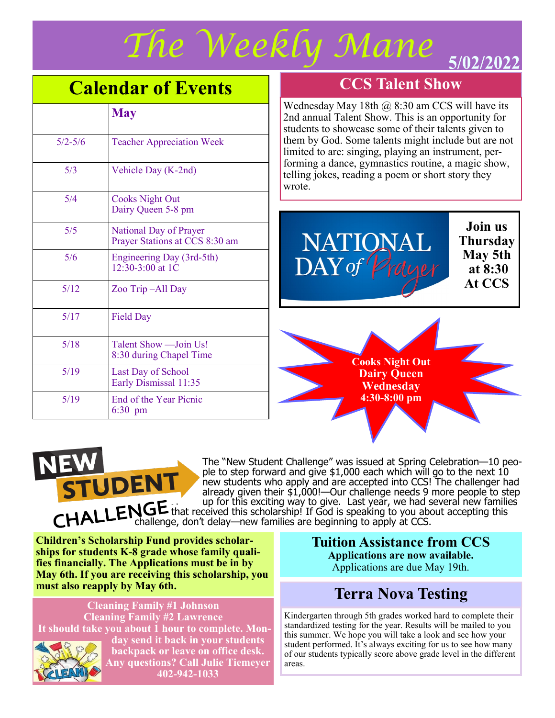

## **Calendar of Events**

|             | <b>May</b>                                               |
|-------------|----------------------------------------------------------|
| $5/2 - 5/6$ | <b>Teacher Appreciation Week</b>                         |
| 5/3         | Vehicle Day (K-2nd)                                      |
| 5/4         | <b>Cooks Night Out</b><br>Dairy Queen 5-8 pm             |
| 5/5         | National Day of Prayer<br>Prayer Stations at CCS 8:30 am |
| 5/6         | Engineering Day (3rd-5th)<br>12:30-3:00 at 1C            |
| 5/12        | Zoo Trip-All Day                                         |
| 5/17        | <b>Field Day</b>                                         |
| 5/18        | Talent Show - Join Us!<br>8:30 during Chapel Time        |
| 5/19        | Last Day of School<br>Early Dismissal 11:35              |
| 5/19        | End of the Year Picnic<br>$6:30$ pm                      |

#### **CCS Talent Show**

Wednesday May 18th  $\omega$  8:30 am CCS will have its 2nd annual Talent Show. This is an opportunity for students to showcase some of their talents given to them by God. Some talents might include but are not limited to are: singing, playing an instrument, performing a dance, gymnastics routine, a magic show, telling jokes, reading a poem or short story they wrote.



**Join us Thursday May 5th at 8:30 At CCS**

**Cooks Night Out Dairy Queen Wednesday 4:30-8:00 pm**



The "New Student Challenge" was issued at Spring Celebration—10 people to step forward and give \$1,000 each which will go to the next 10 new students who apply and are accepted into CCS! The challenger had already given their \$1,000!—Our challenge needs 9 more people to step up for this exciting way to give. Last year, we had several new families that received this scholarship! If God is speaking to you about accepting this challenge, don't delay—new families are beginning to apply at CCS.

**Children's Scholarship Fund provides scholarships for students K-8 grade whose family qualifies financially. The Applications must be in by May 6th. If you are receiving this scholarship, you must also reapply by May 6th.**

**Cleaning Family #1 Johnson Cleaning Family #2 Lawrence It should take you about 1 hour to complete. Monday send it back in your students** 



**backpack or leave on office desk. Any questions? Call Julie Tiemeyer 402-942-1033**

**Tuition Assistance from CCS Applications are now available.** 

Applications are due May 19th.

## **Terra Nova Testing**

Kindergarten through 5th grades worked hard to complete their standardized testing for the year. Results will be mailed to you this summer. We hope you will take a look and see how your student performed. It's always exciting for us to see how many of our students typically score above grade level in the different areas.